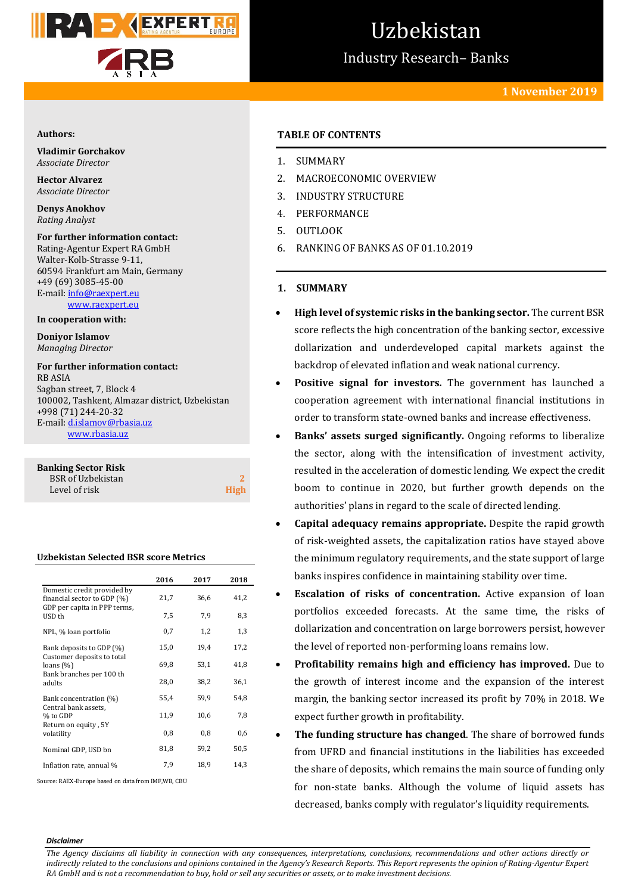

# Uzbekistan

Industry Research– Banks

## **1 November 2019**

#### **Authors:**

**Vladimir Gorchakov** *Associate Director*

**Hector Alvarez** *Associate Director*

**Denys Anokhov** *Rating Analyst*

**For further information contact:** Rating-Agentur Expert RA GmbH Walter-Kolb-Strasse 9-11, 60594 Frankfurt am Main, Germany +49 (69) 3085-45-00 E-mail[: info@raexpert.eu](mailto:info@raexpert.eu)

[www.raexpert.eu](http://raexpert.eu/)

**In cooperation with:**

**Doniyor Islamov** *Managing Director*

**For further information contact:** RB ASIA Sagban street, 7, Block 4 100002, Tashkent, Almazar district, Uzbekistan +998 (71) 244-20-32 E-mail[: d.islamov@rbasia.uz](mailto:d.islamov@rbasia.uz) www.rbasia.uz

| <b>Banking Sector Risk</b> |      |
|----------------------------|------|
| <b>BSR</b> of Uzbekistan   |      |
| Level of risk              | High |

#### **Uzbekistan Selected BSR score Metrics**

|                                                                                                      | 2016 | 2017 | 2018 |
|------------------------------------------------------------------------------------------------------|------|------|------|
| Domestic credit provided by<br>financial sector to GDP (%)<br>GDP per capita in PPP terms,<br>USD th | 21,7 | 36,6 | 41,2 |
|                                                                                                      | 7,5  | 7,9  | 8,3  |
| NPL, % loan portfolio                                                                                | 0,7  | 1,2  | 1,3  |
| Bank deposits to GDP (%)                                                                             | 15,0 | 19,4 | 17,2 |
| Customer deposits to total<br>loans $(\%)$<br>Bank branches per 100 th                               | 69,8 | 53,1 | 41,8 |
| adults                                                                                               | 28,0 | 38,2 | 36,1 |
| Bank concentration (%)                                                                               | 55,4 | 59,9 | 54,8 |
| Central bank assets,<br>% to GDP<br>Return on equity, 5Y                                             | 11,9 | 10,6 | 7,8  |
| volatility                                                                                           | 0,8  | 0,8  | 0,6  |
| Nominal GDP, USD bn                                                                                  | 81,8 | 59,2 | 50,5 |
| Inflation rate, annual %                                                                             | 7,9  | 18,9 | 14,3 |

Source: RAEX-Europe based on data from IMF,WB, CBU

# **TABLE OF CONTENTS**

- 1. SUMMARY
- 2. MACROECONOMIC OVERVIEW
- 3. INDUSTRY STRUCTURE
- 4. PERFORMANCE
- 5. OUTLOOK
- 6. RANKING OF BANKS AS OF 01.10.2019
- **1. SUMMARY**
- **High level of systemic risks in the banking sector.** The current BSR score reflects the high concentration of the banking sector, excessive dollarization and underdeveloped capital markets against the backdrop of elevated inflation and weak national currency.
- **Positive signal for investors.** The government has launched a cooperation agreement with international financial institutions in order to transform state-owned banks and increase effectiveness.
- **Banks' assets surged significantly.** Ongoing reforms to liberalize the sector, along with the intensification of investment activity, resulted in the acceleration of domestic lending. We expect the credit boom to continue in 2020, but further growth depends on the authorities' plans in regard to the scale of directed lending.
- **Capital adequacy remains appropriate.** Despite the rapid growth of risk-weighted assets, the capitalization ratios have stayed above the minimum regulatory requirements, and the state support of large banks inspires confidence in maintaining stability over time.
- **Escalation of risks of concentration.** Active expansion of loan portfolios exceeded forecasts. At the same time, the risks of dollarization and concentration on large borrowers persist, however the level of reported non-performing loans remains low.
- **Profitability remains high and efficiency has improved.** Due to the growth of interest income and the expansion of the interest margin, the banking sector increased its profit by 70% in 2018. We expect further growth in profitability.
- **The funding structure has changed**. The share of borrowed funds from UFRD and financial institutions in the liabilities has exceeded the share of deposits, which remains the main source of funding only for non-state banks. Although the volume of liquid assets has decreased, banks comply with regulator's liquidity requirements.

#### *Disclaimer*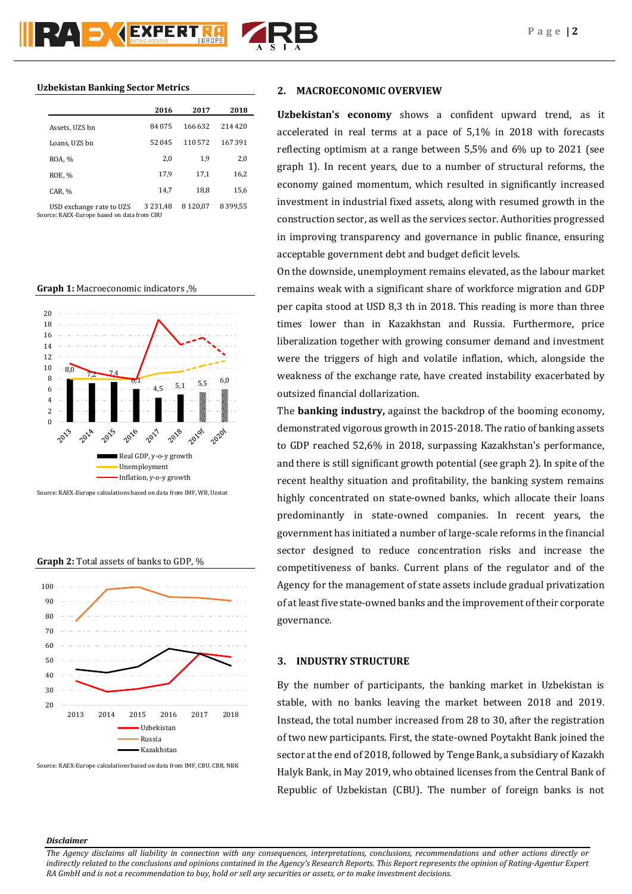|                            | 2016     | 2017     | 2018     |
|----------------------------|----------|----------|----------|
| Assets, UZS bn             | 84 075   | 166 632  | 214 420  |
| Loans, UZS bn              | 52 045   | 110572   | 167 391  |
| ROA, %                     | 2,0      | 1,9      | 2,0      |
| <b>ROE, %</b>              | 17,9     | 17,1     | 16,2     |
| CAR, %                     | 14,7     | 18,8     | 15,6     |
| IISD avchanga rata to II7S | 3 231 48 | 8 120 07 | 8 399 55 |

USD exchange rate to UZS 3 231,48 8 120,07 8 399,55 Source: RAEX-Europe based on data from CBU

#### **Graph 1:** Macroeconomic indicators ,%



Source: RAEX-Europe calculations based on data from IMF, WB, Uzstat





Source: RAEX-Europe calculations based on data from IMF, CBU, CBR, NBK

## **2. MACROECONOMIC OVERVIEW**

**Uzbekistan's economy** shows a confident upward trend, as it accelerated in real terms at a pace of 5,1% in 2018 with forecasts reflecting optimism at a range between 5,5% and 6% up to 2021 (see graph 1). In recent years, due to a number of structural reforms, the economy gained momentum, which resulted in significantly increased investment in industrial fixed assets, along with resumed growth in the construction sector, as well as the services sector. Authorities progressed in improving transparency and governance in public finance, ensuring acceptable government debt and budget deficit levels.

On the downside, unemployment remains elevated, as the labour market remains weak with a significant share of workforce migration and GDP per capita stood at USD 8,3 th in 2018. This reading is more than three times lower than in Kazakhstan and Russia. Furthermore, price liberalization together with growing consumer demand and investment were the triggers of high and volatile inflation, which, alongside the weakness of the exchange rate, have created instability exacerbated by outsized financial dollarization.

The **banking industry,** against the backdrop of the booming economy, demonstrated vigorous growth in 2015-2018. The ratio of banking assets to GDP reached 52,6% in 2018, surpassing Kazakhstan's performance, and there is still significant growth potential (see graph 2). In spite of the recent healthy situation and profitability, the banking system remains highly concentrated on state-owned banks, which allocate their loans predominantly in state-owned companies. In recent years, the government has initiated a number of large-scale reforms in the financial sector designed to reduce concentration risks and increase the competitiveness of banks. Current plans of the regulator and of the Agency for the management of state assets include gradual privatization of at least five state-owned banks and the improvement of their corporate governance.

## **3. INDUSTRY STRUCTURE**

By the number of participants, the banking market in Uzbekistan is stable, with no banks leaving the market between 2018 and 2019. Instead, the total number increased from 28 to 30, after the registration of two new participants. First, the state-owned Poytakht Bank joined the sector at the end of 2018, followed by Tenge Bank, a subsidiary of Kazakh Halyk Bank, in May 2019, who obtained licenses from the Central Bank of Republic of Uzbekistan (CBU). The number of foreign banks is not

## *Disclaimer*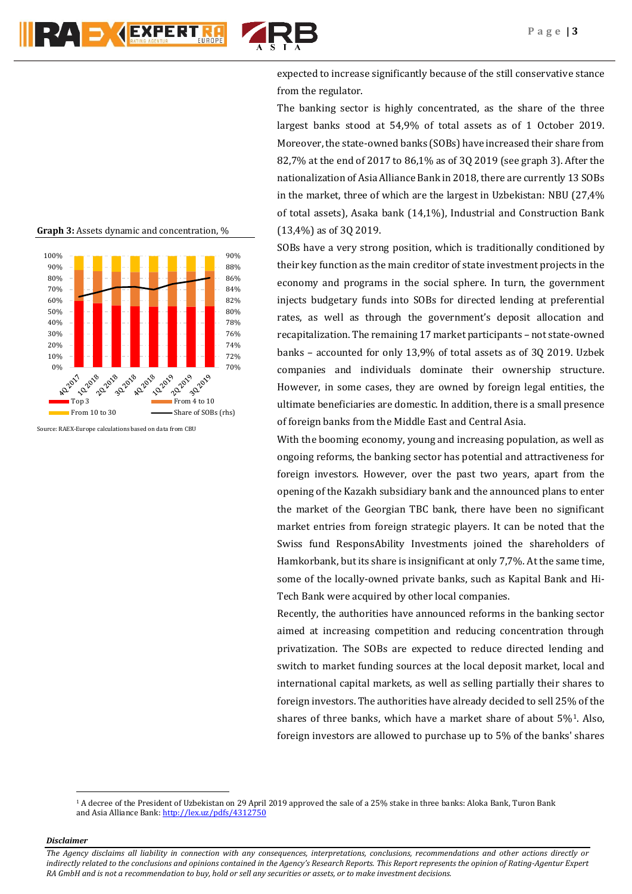

expected to increase significantly because of the still conservative stance from the regulator.

The banking sector is highly concentrated, as the share of the three largest banks stood at 54,9% of total assets as of 1 October 2019. Moreover, the state-owned banks (SOBs) have increased their share from 82,7% at the end of 2017 to 86,1% as of 3Q 2019 (see graph 3). After the nationalization of Asia Alliance Bank in 2018, there are currently 13 SOBs in the market, three of which are the largest in Uzbekistan: NBU (27,4% of total assets), Asaka bank (14,1%), Industrial and Construction Bank (13,4%) as of 3Q 2019.

SOBs have a very strong position, which is traditionally conditioned by their key function as the main creditor of state investment projects in the economy and programs in the social sphere. In turn, the government injects budgetary funds into SOBs for directed lending at preferential rates, as well as through the government's deposit allocation and recapitalization. The remaining 17 market participants – not state-owned banks – accounted for only 13,9% of total assets as of 3Q 2019. Uzbek companies and individuals dominate their ownership structure. However, in some cases, they are owned by foreign legal entities, the ultimate beneficiaries are domestic. In addition, there is a small presence of foreign banks from the Middle East and Central Asia.

With the booming economy, young and increasing population, as well as ongoing reforms, the banking sector has potential and attractiveness for foreign investors. However, over the past two years, apart from the opening of the Kazakh subsidiary bank and the announced plans to enter the market of the Georgian TBC bank, there have been no significant market entries from foreign strategic players. It can be noted that the Swiss fund ResponsAbility Investments joined the shareholders of Hamkorbank, but its share is insignificant at only 7,7%. At the same time, some of the locally-owned private banks, such as Kapital Bank and Hi-Tech Bank were acquired by other local companies.

Recently, the authorities have announced reforms in the banking sector aimed at increasing competition and reducing concentration through privatization. The SOBs are expected to reduce directed lending and switch to market funding sources at the local deposit market, local and international capital markets, as well as selling partially their shares to foreign investors. The authorities have already decided to sell 25% of the shares of three banks, which have a market share of about 5%1. Also, foreign investors are allowed to purchase up to 5% of the banks' shares

*Disclaimer* 

 $\overline{a}$ 

**Graph 3:** Assets dynamic and concentration, %



<sup>1</sup> A decree of the President of Uzbekistan on 29 April 2019 approved the sale of a 25% stake in three banks: Aloka Bank, Turon Bank and Asia Alliance Bank[: http://lex.uz/pdfs/4312750](http://lex.uz/pdfs/4312750)

*The Agency disclaims all liability in connection with any consequences, interpretations, conclusions, recommendations and other actions directly or indirectly related to the conclusions and opinions contained in the Agency's Research Reports. This Report represents the opinion of Rating-Agentur Expert RA GmbH and is not a recommendation to buy, hold or sell any securities or assets, or to make investment decisions.*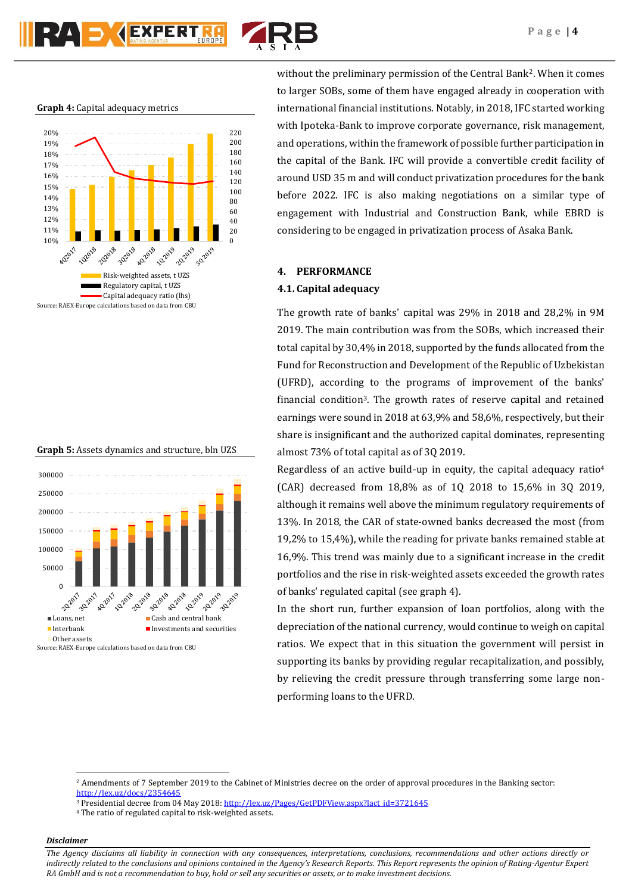

**Graph 4:** Capital adequacy metrics







without the preliminary permission of the Central Bank2. When it comes to larger SOBs, some of them have engaged already in cooperation with international financial institutions. Notably, in 2018, IFC started working with Ipoteka-Bank to improve corporate governance, risk management, and operations, within the framework of possible further participation in the capital of the Bank. IFC will provide a convertible credit facility of around USD 35 m and will conduct privatization procedures for the bank before 2022. IFC is also making negotiations on a similar type of engagement with Industrial and Construction Bank, while EBRD is considering to be engaged in privatization process of Asaka Bank.

#### **4. PERFORMANCE**

#### **4.1. Capital adequacy**

The growth rate of banks' capital was 29% in 2018 and 28,2% in 9M 2019. The main contribution was from the SOBs, which increased their total capital by 30,4% in 2018, supported by the funds allocated from the Fund for Reconstruction and Development of the Republic of Uzbekistan (UFRD), according to the programs of improvement of the banks' financial condition3. The growth rates of reserve capital and retained earnings were sound in 2018 at 63,9% and 58,6%, respectively, but their share is insignificant and the authorized capital dominates, representing almost 73% of total capital as of 3Q 2019.

Regardless of an active build-up in equity, the capital adequacy ratio $4$ (CAR) decreased from 18,8% as of 1Q 2018 to 15,6% in 3Q 2019, although it remains well above the minimum regulatory requirements of 13%. In 2018, the CAR of state-owned banks decreased the most (from 19,2% to 15,4%), while the reading for private banks remained stable at 16,9%. This trend was mainly due to a significant increase in the credit portfolios and the rise in risk-weighted assets exceeded the growth rates of banks' regulated capital (see graph 4).

In the short run, further expansion of loan portfolios, along with the depreciation of the national currency, would continue to weigh on capital ratios. We expect that in this situation the government will persist in supporting its banks by providing regular recapitalization, and possibly, by relieving the credit pressure through transferring some large nonperforming loans to the UFRD.

## *Disclaimer*

1

<sup>2</sup> Amendments of 7 September 2019 to the Cabinet of Ministries decree on the order of approval procedures in the Banking sector: <http://lex.uz/docs/2354645>

<sup>&</sup>lt;sup>3</sup> Presidential decree from 04 May 2018[: http://lex.uz/Pages/GetPDFView.aspx?lact\\_id=3721645](http://lex.uz/Pages/GetPDFView.aspx?lact_id=3721645)

<sup>4</sup> The ratio of regulated capital to risk-weighted assets.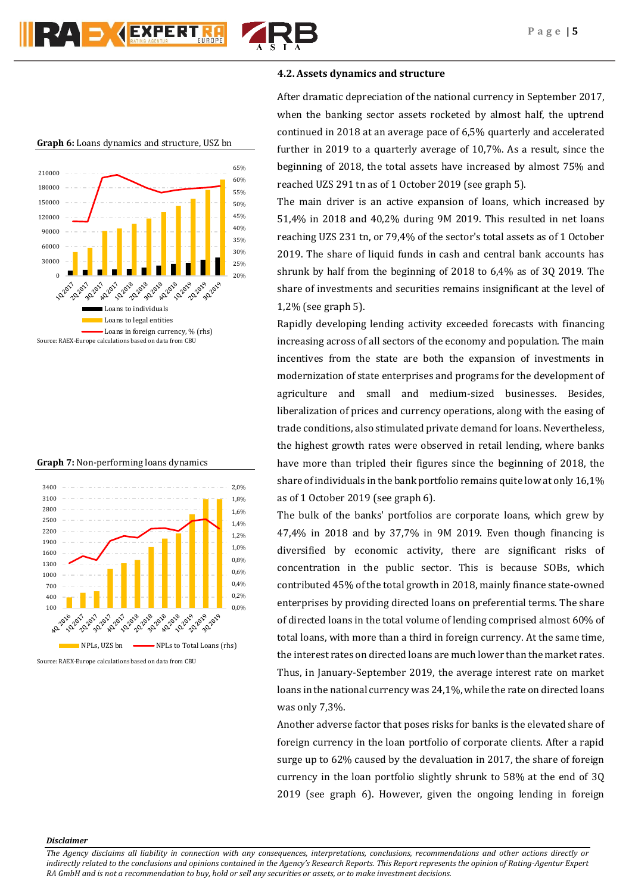

# **4.2. Assets dynamics and structure**

After dramatic depreciation of the national currency in September 2017, when the banking sector assets rocketed by almost half, the uptrend continued in 2018 at an average pace of 6,5% quarterly and accelerated further in 2019 to a quarterly average of 10,7%. As a result, since the beginning of 2018, the total assets have increased by almost 75% and reached UZS 291 tn as of 1 October 2019 (see graph 5).

The main driver is an active expansion of loans, which increased by 51,4% in 2018 and 40,2% during 9M 2019. This resulted in net loans reaching UZS 231 tn, or 79,4% of the sector's total assets as of 1 October 2019. The share of liquid funds in cash and central bank accounts has shrunk by half from the beginning of 2018 to 6,4% as of 3Q 2019. The share of investments and securities remains insignificant at the level of 1,2% (see graph 5).

Rapidly developing lending activity exceeded forecasts with financing increasing across of all sectors of the economy and population. The main incentives from the state are both the expansion of investments in modernization of state enterprises and programs for the development of agriculture and small and medium-sized businesses. Besides, liberalization of prices and currency operations, along with the easing of trade conditions, also stimulated private demand for loans. Nevertheless, the highest growth rates were observed in retail lending, where banks have more than tripled their figures since the beginning of 2018, the share of individuals in the bank portfolio remains quite low at only 16,1% as of 1 October 2019 (see graph 6).

The bulk of the banks' portfolios are corporate loans, which grew by 47,4% in 2018 and by 37,7% in 9M 2019. Even though financing is diversified by economic activity, there are significant risks of concentration in the public sector. This is because SOBs, which contributed 45% of the total growth in 2018, mainly finance state-owned enterprises by providing directed loans on preferential terms. The share of directed loans in the total volume of lending comprised almost 60% of total loans, with more than a third in foreign currency. At the same time, the interest rates on directed loans are much lower than the market rates. Thus, in January-September 2019, the average interest rate on market loans in the national currency was 24,1%, while the rate on directed loans was only 7,3%.

Another adverse factor that poses risks for banks is the elevated share of foreign currency in the loan portfolio of corporate clients. After a rapid surge up to 62% caused by the devaluation in 2017, the share of foreign currency in the loan portfolio slightly shrunk to 58% at the end of 3Q 2019 (see graph 6). However, given the ongoing lending in foreign

#### **Graph 6:** Loans dynamics and structure, USZ bn



**Graph 7:** Non-performing loans dynamics



Source: RAEX-Europe calculations based on data from CBU

*Disclaimer*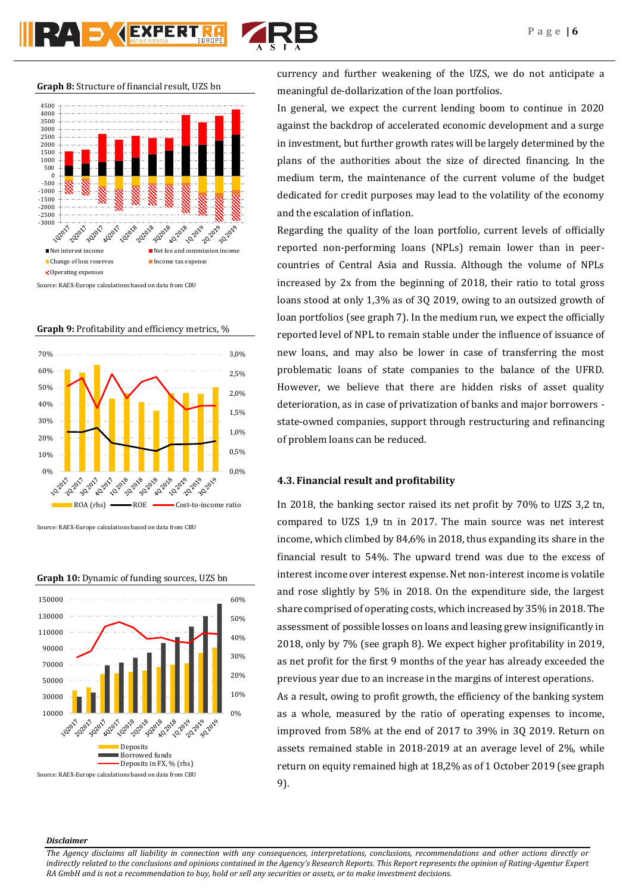

**Graph 8:** Structure of financial result, UZS bn



Source: RAEX-Europe calculations based on data from CBU





Source: RAEX-Europe calculations based on data from CBU



**Graph 10:** Dynamic of funding sources, UZS bn

currency and further weakening of the UZS, we do not anticipate a meaningful de-dollarization of the loan portfolios.

In general, we expect the current lending boom to continue in 2020 against the backdrop of accelerated economic development and a surge in investment, but further growth rates will be largely determined by the plans of the authorities about the size of directed financing. In the medium term, the maintenance of the current volume of the budget dedicated for credit purposes may lead to the volatility of the economy and the escalation of inflation.

Regarding the quality of the loan portfolio, current levels of officially reported non-performing loans (NPLs) remain lower than in peercountries of Central Asia and Russia. Although the volume of NPLs increased by 2x from the beginning of 2018, their ratio to total gross loans stood at only 1,3% as of 3Q 2019, owing to an outsized growth of loan portfolios (see graph 7). In the medium run, we expect the officially reported level of NPL to remain stable under the influence of issuance of new loans, and may also be lower in case of transferring the most problematic loans of state companies to the balance of the UFRD. However, we believe that there are hidden risks of asset quality deterioration, as in case of privatization of banks and major borrowers state-owned companies, support through restructuring and refinancing of problem loans can be reduced.

## **4.3. Financial result and profitability**

In 2018, the banking sector raised its net profit by 70% to UZS 3,2 tn, compared to UZS 1,9 tn in 2017. The main source was net interest income, which climbed by 84,6% in 2018, thus expanding its share in the financial result to 54%. The upward trend was due to the excess of interest income over interest expense. Net non-interest income is volatile and rose slightly by 5% in 2018. On the expenditure side, the largest share comprised of operating costs, which increased by 35% in 2018. The assessment of possible losses on loans and leasing grew insignificantly in 2018, only by 7% (see graph 8). We expect higher profitability in 2019, as net profit for the first 9 months of the year has already exceeded the previous year due to an increase in the margins of interest operations. As a result, owing to profit growth, the efficiency of the banking system as a whole, measured by the ratio of operating expenses to income,

improved from 58% at the end of 2017 to 39% in 3Q 2019. Return on assets remained stable in 2018-2019 at an average level of 2%, while return on equity remained high at 18,2% as of 1 October 2019 (see graph 9).

## *Disclaimer*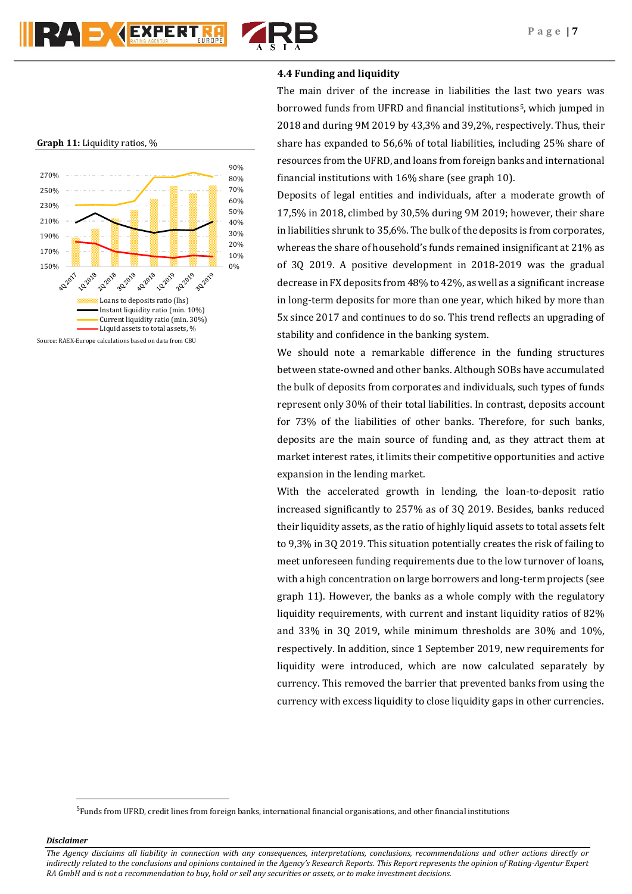

# **4.4 Funding and liquidity**

The main driver of the increase in liabilities the last two years was borrowed funds from UFRD and financial institutions<sup>5</sup>, which jumped in 2018 and during 9M 2019 by 43,3% and 39,2%, respectively. Thus, their share has expanded to 56,6% of total liabilities, including 25% share of resources from the UFRD, and loans from foreign banks and international financial institutions with 16% share (see graph 10).

Deposits of legal entities and individuals, after a moderate growth of 17,5% in 2018, climbed by 30,5% during 9M 2019; however, their share in liabilities shrunk to 35,6%. The bulk of the deposits is from corporates, whereas the share of household's funds remained insignificant at 21% as of 3Q 2019. A positive development in 2018-2019 was the gradual decrease in FX deposits from 48% to 42%, as well as a significant increase in long-term deposits for more than one year, which hiked by more than 5x since 2017 and continues to do so. This trend reflects an upgrading of stability and confidence in the banking system.

We should note a remarkable difference in the funding structures between state-owned and other banks. Although SOBs have accumulated the bulk of deposits from corporates and individuals, such types of funds represent only 30% of their total liabilities. In contrast, deposits account for 73% of the liabilities of other banks. Therefore, for such banks, deposits are the main source of funding and, as they attract them at market interest rates, it limits their competitive opportunities and active expansion in the lending market.

With the accelerated growth in lending, the loan-to-deposit ratio increased significantly to 257% as of 3Q 2019. Besides, banks reduced their liquidity assets, as the ratio of highly liquid assets to total assets felt to 9,3% in 3Q 2019. This situation potentially creates the risk of failing to meet unforeseen funding requirements due to the low turnover of loans, with a high concentration on large borrowers and long-term projects (see graph 11). However, the banks as a whole comply with the regulatory liquidity requirements, with current and instant liquidity ratios of 82% and 33% in 3Q 2019, while minimum thresholds are 30% and 10%, respectively. In addition, since 1 September 2019, new requirements for liquidity were introduced, which are now calculated separately by currency. This removed the barrier that prevented banks from using the currency with excess liquidity to close liquidity gaps in other currencies.



*Disclaimer* 

**.** 

#### **Graph 11:** Liquidity ratios, %



*The Agency disclaims all liability in connection with any consequences, interpretations, conclusions, recommendations and other actions directly or indirectly related to the conclusions and opinions contained in the Agency's Research Reports. This Report represents the opinion of Rating-Agentur Expert RA GmbH and is not a recommendation to buy, hold or sell any securities or assets, or to make investment decisions.*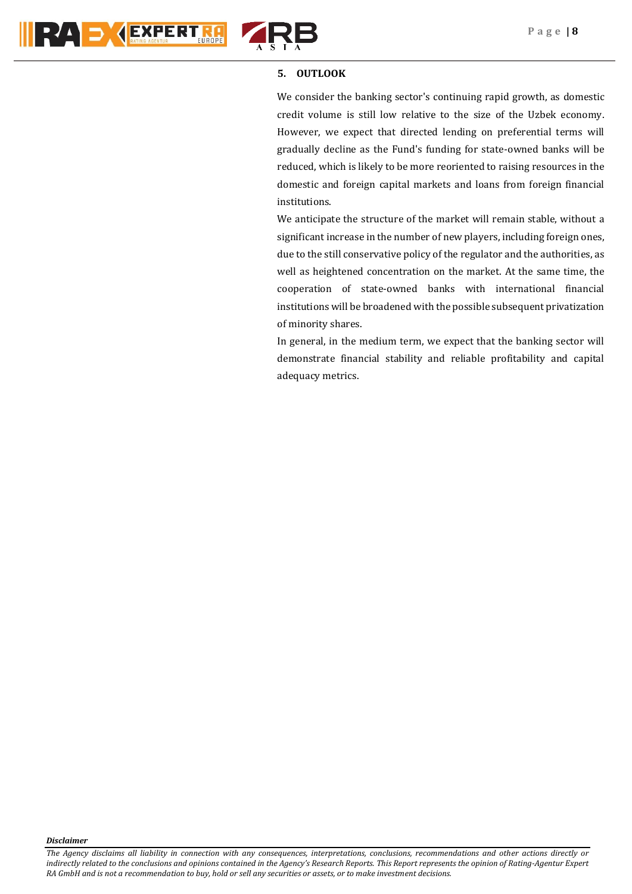



## **5. OUTLOOK**

We consider the banking sector's continuing rapid growth, as domestic credit volume is still low relative to the size of the Uzbek economy. However, we expect that directed lending on preferential terms will gradually decline as the Fund's funding for state-owned banks will be reduced, which is likely to be more reoriented to raising resources in the domestic and foreign capital markets and loans from foreign financial institutions.

We anticipate the structure of the market will remain stable, without a significant increase in the number of new players, including foreign ones, due to the still conservative policy of the regulator and the authorities, as well as heightened concentration on the market. At the same time, the cooperation of state-owned banks with international financial institutions will be broadened with the possible subsequent privatization of minority shares.

In general, in the medium term, we expect that the banking sector will demonstrate financial stability and reliable profitability and capital adequacy metrics.

*Disclaimer*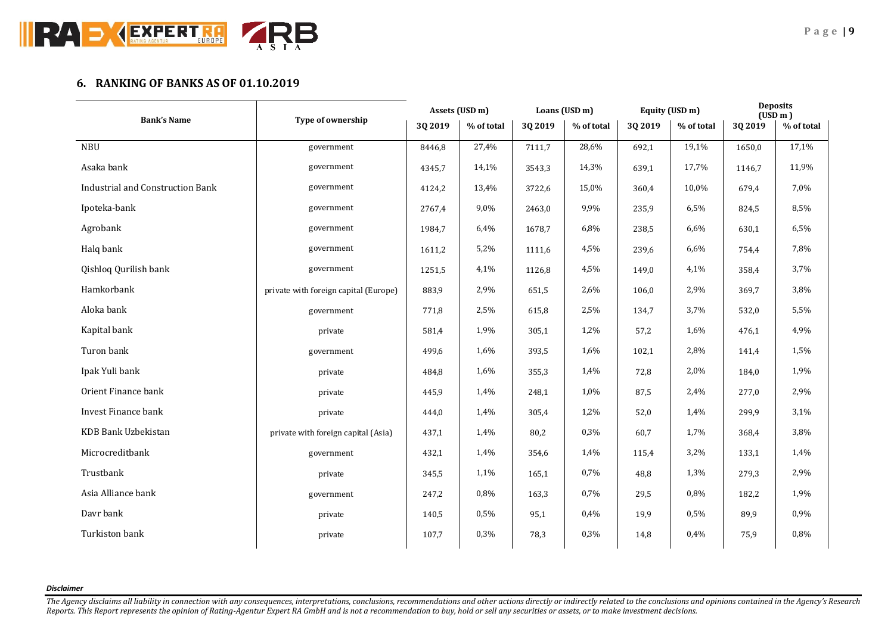

# **6. RANKING OF BANKS AS OF 01.10.2019**

|                                         | Type of ownership                     | Assets (USD m) |            | Loans (USD m) |            | Equity (USD m) |            | <b>Deposits</b><br>(USD m) |            |
|-----------------------------------------|---------------------------------------|----------------|------------|---------------|------------|----------------|------------|----------------------------|------------|
| <b>Bank's Name</b>                      |                                       | 3Q 2019        | % of total | 3Q 2019       | % of total | 3Q 2019        | % of total | 3Q 2019                    | % of total |
| <b>NBU</b>                              | government                            | 8446,8         | 27,4%      | 7111,7        | 28,6%      | 692,1          | 19,1%      | 1650,0                     | 17,1%      |
| Asaka bank                              | government                            | 4345,7         | 14,1%      | 3543,3        | 14,3%      | 639,1          | 17,7%      | 1146,7                     | 11,9%      |
| <b>Industrial and Construction Bank</b> | government                            | 4124,2         | 13,4%      | 3722,6        | 15,0%      | 360,4          | 10,0%      | 679,4                      | 7,0%       |
| Ipoteka-bank                            | government                            | 2767,4         | 9,0%       | 2463,0        | 9,9%       | 235,9          | 6,5%       | 824,5                      | 8,5%       |
| Agrobank                                | government                            | 1984,7         | 6,4%       | 1678,7        | 6,8%       | 238,5          | 6,6%       | 630,1                      | 6,5%       |
| Halq bank                               | government                            | 1611,2         | 5,2%       | 1111,6        | 4,5%       | 239,6          | 6,6%       | 754,4                      | 7,8%       |
| Qishloq Qurilish bank                   | government                            | 1251,5         | 4,1%       | 1126,8        | 4,5%       | 149,0          | 4,1%       | 358,4                      | 3,7%       |
| Hamkorbank                              | private with foreign capital (Europe) | 883,9          | 2,9%       | 651,5         | 2,6%       | 106,0          | 2,9%       | 369,7                      | 3,8%       |
| Aloka bank                              | government                            | 771,8          | 2,5%       | 615,8         | 2,5%       | 134,7          | 3,7%       | 532,0                      | 5,5%       |
| Kapital bank                            | private                               | 581,4          | 1,9%       | 305,1         | 1,2%       | 57,2           | 1,6%       | 476,1                      | 4,9%       |
| Turon bank                              | government                            | 499,6          | 1,6%       | 393,5         | 1,6%       | 102,1          | 2,8%       | 141,4                      | 1,5%       |
| Ipak Yuli bank                          | private                               | 484,8          | 1,6%       | 355,3         | 1,4%       | 72,8           | 2,0%       | 184,0                      | 1,9%       |
| Orient Finance bank                     | private                               | 445,9          | 1,4%       | 248,1         | 1,0%       | 87,5           | 2,4%       | 277,0                      | 2,9%       |
| Invest Finance bank                     | private                               | 444,0          | 1,4%       | 305,4         | 1,2%       | 52,0           | 1,4%       | 299,9                      | 3,1%       |
| KDB Bank Uzbekistan                     | private with foreign capital (Asia)   | 437,1          | 1,4%       | 80,2          | 0,3%       | 60,7           | 1,7%       | 368,4                      | 3,8%       |
| Microcreditbank                         | government                            | 432,1          | 1,4%       | 354,6         | 1,4%       | 115,4          | 3,2%       | 133,1                      | 1,4%       |
| Trustbank                               | private                               | 345,5          | 1,1%       | 165,1         | 0,7%       | 48,8           | 1,3%       | 279,3                      | 2,9%       |
| Asia Alliance bank                      | government                            | 247,2          | 0,8%       | 163,3         | 0,7%       | 29,5           | 0,8%       | 182,2                      | 1,9%       |
| Davr bank                               | private                               | 140,5          | 0,5%       | 95,1          | 0,4%       | 19,9           | 0,5%       | 89,9                       | 0,9%       |
| Turkiston bank                          | private                               | 107,7          | 0,3%       | 78,3          | 0,3%       | 14,8           | 0,4%       | 75,9                       | 0,8%       |
|                                         |                                       |                |            |               |            |                |            |                            |            |

*Disclaimer*